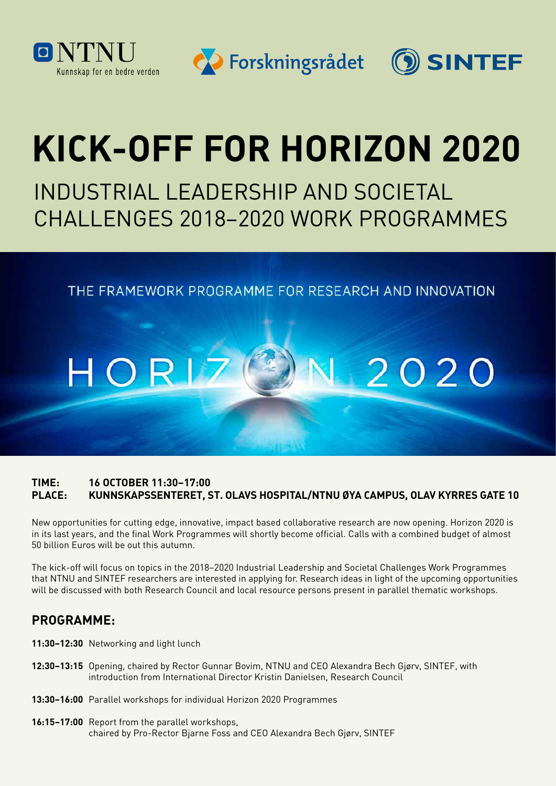

OSINTEF



# **KICK-OFF FOR HORIZON 2020**

INDUSTRIAL LEADERSHIP AND SOCIETAL CHALLENGES 2018–2020 WORK PROGRAMMES

THE FRAMEWORK PROGRAMME FOR RESEARCH AND INNOVATION

### HOR 2020

#### **TIME: 16 OCTOBER 11:30–17:00 PLACE: KUNNSKAPSSENTERET, ST. OLAVS HOSPITAL/NTNU ØYA CAMPUS, OLAV KYRRES GATE 10**

New opportunities for cutting edge, innovative, impact based collaborative research are now opening. Horizon 2020 is in its last years, and the final Work Programmes will shortly become official. Calls with a combined budget of almost 50 billion Euros will be out this autumn.

The kick-off will focus on topics in the 2018–2020 Industrial Leadership and Societal Challenges Work Programmes that NTNU and SINTEF researchers are interested in applying for. Research ideas in light of the upcoming opportunities will be discussed with both Research Council and local resource persons present in parallel thematic workshops.

#### **PROGRAMME:**

- **11:30–12:30** Networking and light lunch
- **12:30–13:15** Opening, chaired by Rector Gunnar Bovim, NTNU and CEO Alexandra Bech Gjørv, SINTEF, with introduction from International Director Kristin Danielsen, Research Council
- **13:30–16:00** Parallel workshops for individual Horizon 2020 Programmes
- **16:15–17:00** Report from the parallel workshops, chaired by Pro-Rector Bjarne Foss and CEO Alexandra Bech Gjørv, SINTEF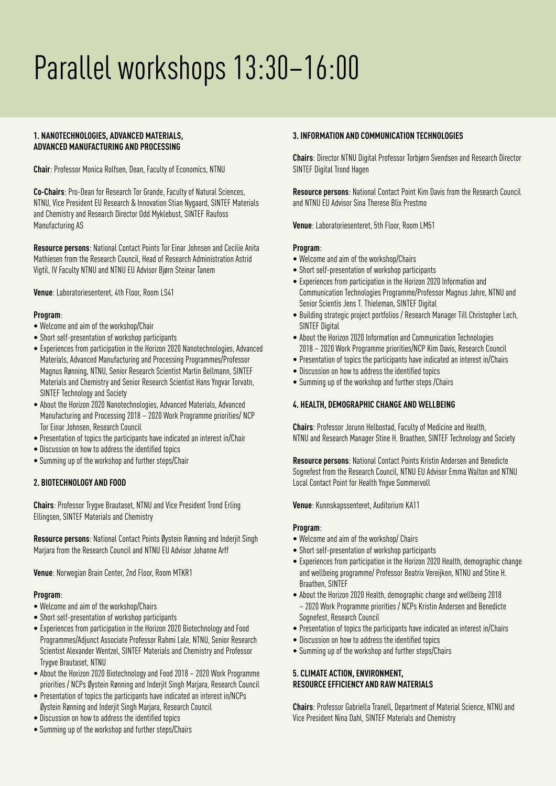## Parallel workshops 13:30–16:00

#### **1. NANOTECHNOLOGIES, ADVANCED MATERIALS, ADVANCED MANUFACTURING AND PROCESSING**

**Chair**: Professor Monica Rolfsen, Dean, Faculty of Economics, NTNU

**Co-Chairs**: Pro-Dean for Research Tor Grande, Faculty of Natural Sciences, NTNU, Vice President EU Research & Innovation Stian Nygaard, SINTEF Materials and Chemistry and Research Director Odd Myklebust, SINTEF Raufoss Manufacturing AS

**Resource persons**: National Contact Points Tor Einar Johnsen and Cecilie Anita Mathiesen from the Research Council, Head of Research Administration Astrid Vigtil, IV Faculty NTNU and NTNU EU Advisor Bjørn Steinar Tanem

**Venue**: Laboratoriesenteret, 4th Floor, Room LS41

#### **Program**:

- Welcome and aim of the workshop/Chair
- Short self-presentation of workshop participants
- Experiences from participation in the Horizon 2020 Nanotechnologies, Advanced Materials, Advanced Manufacturing and Processing Programmes/Professor Magnus Rønning, NTNU, Senior Research Scientist Martin Bellmann, SINTEF Materials and Chemistry and Senior Research Scientist Hans Yngvar Torvatn, SINTEF Technology and Society
- About the Horizon 2020 Nanotechnologies, Advanced Materials, Advanced Manufacturing and Processing 2018 – 2020 Work Programme priorities/ NCP Tor Einar Johnsen, Research Council
- Presentation of topics the participants have indicated an interest in/Chair
- Discussion on how to address the identified topics
- Summing up of the workshop and further steps/Chair

#### **2. BIOTECHNOLOGY AND FOOD**

**Chairs**: Professor Trygve Brautaset, NTNU and Vice President Trond Erling Ellingsen, SINTEF Materials and Chemistry

**Resource persons**: National Contact Points Øystein Rønning and Inderjit Singh Marjara from the Research Council and NTNU EU Advisor Johanne Arff

**Venue**: Norwegian Brain Center, 2nd Floor, Room MTKR1

#### **Program**:

- Welcome and aim of the workshop/Chairs
- Short self-presentation of workshop participants
- Experiences from participation in the Horizon 2020 Biotechnology and Food Programmes/Adjunct Associate Professor Rahmi Lale, NTNU, Senior Research Scientist Alexander Wentzel, SINTEF Materials and Chemistry and Professor Trygve Brautaset, NTNU
- About the Horizon 2020 Biotechnology and Food 2018 2020 Work Programme priorities / NCPs Øystein Rønning and Inderjit Singh Marjara, Research Council
- Presentation of topics the participants have indicated an interest in/NCPs Øystein Rønning and Inderjit Singh Marjara, Research Council
- Discussion on how to address the identified topics
- Summing up of the workshop and further steps/Chairs

#### **3. INFORMATION AND COMMUNICATION TECHNOLOGIES**

**Chairs**: Director NTNU Digital Professor Torbjørn Svendsen and Research Director SINTEF Digital Trond Hagen

**Resource persons**: National Contact Point Kim Davis from the Research Council and NTNU EU Advisor Sina Therese Blix Prestmo

**Venue**: Laboratoriesenteret, 5th Floor, Room LM51

#### **Program**:

- Welcome and aim of the workshop/Chairs
- Short self-presentation of workshop participants
- Experiences from participation in the Horizon 2020 Information and Communication Technologies Programme/Professor Magnus Jahre, NTNU and Senior Scientis Jens T. Thieleman, SINTEF Digital
- Building strategic project portfolios / Research Manager Till Christopher Lech, SINTEF Digital
- About the Horizon 2020 Information and Communication Technologies 2018 – 2020 Work Programme priorities/NCP Kim Davis, Research Council
- Presentation of topics the participants have indicated an interest in/Chairs
- Discussion on how to address the identified topics
- Summing up of the workshop and further steps /Chairs

#### **4. HEALTH, DEMOGRAPHIC CHANGE AND WELLBEING**

**Chairs**: Professor Jorunn Helbostad, Faculty of Medicine and Health, NTNU and Research Manager Stine H. Braathen, SINTEF Technology and Society

**Resource persons**: National Contact Points Kristin Andersen and Benedicte Sognefest from the Research Council, NTNU EU Advisor Emma Walton and NTNU Local Contact Point for Health Yngve Sommervoll

**Venue**: Kunnskapssenteret, Auditorium KA11

#### **Program**:

- Welcome and aim of the workshop/ Chairs
- Short self-presentation of workshop participants
- Experiences from participation in the Horizon 2020 Health, demographic change and wellbeing programme/ Professor Beatrix Vereijken, NTNU and Stine H. Braathen, SINTEF
- About the Horizon 2020 Health, demographic change and wellbeing 2018 – 2020 Work Programme priorities / NCPs Kristin Andersen and Benedicte Sognefest, Research Council
- Presentation of topics the participants have indicated an interest in/Chairs
- Discussion on how to address the identified topics
- Summing up of the workshop and further steps/Chairs

#### **5. CLIMATE ACTION, ENVIRONMENT, RESOURCE EFFICIENCY AND RAW MATERIALS**

**Chairs**: Professor Gabriella Tranell, Department of Material Science, NTNU and Vice President Nina Dahl, SINTEF Materials and Chemistry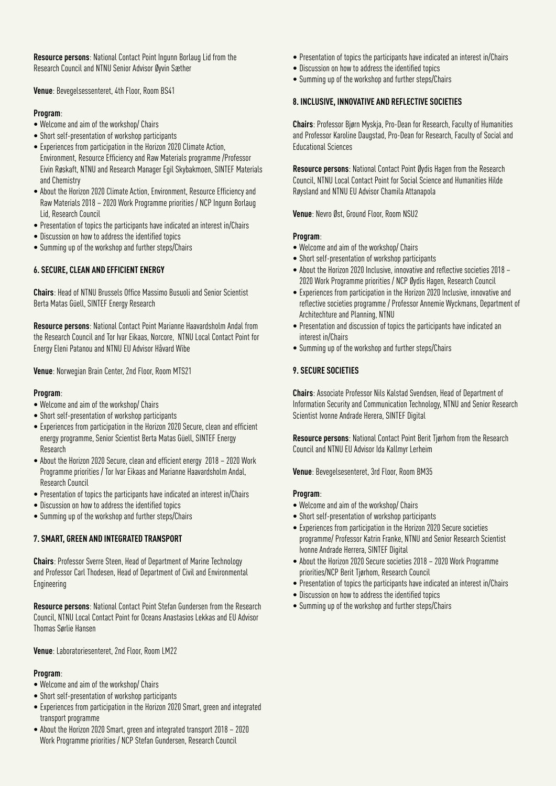**Resource persons**: National Contact Point Ingunn Borlaug Lid from the Research Council and NTNU Senior Advisor Øyvin Sæther

**Venue**: Bevegelsessenteret, 4th Floor, Room BS41

#### **Program**:

- Welcome and aim of the workshop/ Chairs
- Short self-presentation of workshop participants
- Experiences from participation in the Horizon 2020 Climate Action, Environment, Resource Efficiency and Raw Materials programme /Professor Eivin Røskaft, NTNU and Research Manager Egil Skybakmoen, SINTEF Materials and Chemistry
- About the Horizon 2020 Climate Action, Environment, Resource Efficiency and Raw Materials 2018 – 2020 Work Programme priorities / NCP Ingunn Borlaug Lid, Research Council
- Presentation of topics the participants have indicated an interest in/Chairs
- Discussion on how to address the identified topics
- Summing up of the workshop and further steps/Chairs

#### **6. SECURE, CLEAN AND EFFICIENT ENERGY**

**Chairs**: Head of NTNU Brussels Office Massimo Busuoli and Senior Scientist Berta Matas Güell, SINTEF Energy Research

**Resource persons**: National Contact Point Marianne Haavardsholm Andal from the Research Council and Tor Ivar Eikaas, Norcore, NTNU Local Contact Point for Energy Eleni Patanou and NTNU EU Advisor Håvard Wibe

**Venue**: Norwegian Brain Center, 2nd Floor, Room MTS21

#### **Program**:

- Welcome and aim of the workshop/ Chairs
- Short self-presentation of workshop participants
- Experiences from participation in the Horizon 2020 Secure, clean and efficient energy programme, Senior Scientist Berta Matas Güell, SINTEF Energy Research
- About the Horizon 2020 Secure, clean and efficient energy 2018 2020 Work Programme priorities / Tor Ivar Eikaas and Marianne Haavardsholm Andal, Research Council
- Presentation of topics the participants have indicated an interest in/Chairs
- Discussion on how to address the identified topics
- Summing up of the workshop and further steps/Chairs

#### **7. SMART, GREEN AND INTEGRATED TRANSPORT**

**Chairs**: Professor Sverre Steen, Head of Department of Marine Technology and Professor Carl Thodesen, Head of Department of Civil and Environmental Engineering

**Resource persons**: National Contact Point Stefan Gundersen from the Research Council, NTNU Local Contact Point for Oceans Anastasios Lekkas and EU Advisor Thomas Sørlie Hansen

**Venue**: Laboratoriesenteret, 2nd Floor, Room LM22

#### **Program**:

- Welcome and aim of the workshop/ Chairs
- Short self-presentation of workshop participants
- Experiences from participation in the Horizon 2020 Smart, green and integrated transport programme
- About the Horizon 2020 Smart, green and integrated transport 2018 2020 Work Programme priorities / NCP Stefan Gundersen, Research Council
- Presentation of topics the participants have indicated an interest in/Chairs
- Discussion on how to address the identified topics
- Summing up of the workshop and further steps/Chairs

#### **8. INCLUSIVE, INNOVATIVE AND REFLECTIVE SOCIETIES**

**Chairs**: Professor Bjørn Myskja, Pro-Dean for Research, Faculty of Humanities and Professor Karoline Daugstad, Pro-Dean for Research, Faculty of Social and Educational Sciences

**Resource persons**: National Contact Point Øydis Hagen from the Research Council, NTNU Local Contact Point for Social Science and Humanities Hilde Røysland and NTNU EU Advisor Chamila Attanapola

**Venue**: Nevro Øst, Ground Floor, Room NSU2

#### **Program**:

- Welcome and aim of the workshop/ Chairs
- Short self-presentation of workshop participants
- About the Horizon 2020 Inclusive, innovative and reflective societies 2018 2020 Work Programme priorities / NCP Øydis Hagen, Research Council
- Experiences from participation in the Horizon 2020 Inclusive, innovative and reflective societies programme / Professor Annemie Wyckmans, Department of Architechture and Planning, NTNU
- Presentation and discussion of topics the participants have indicated an interest in/Chairs
- Summing up of the workshop and further steps/Chairs

#### **9. SECURE SOCIETIES**

**Chairs**: Associate Professor Nils Kalstad Svendsen, Head of Department of Information Security and Communication Technology, NTNU and Senior Research Scientist Ivonne Andrade Herera, SINTEF Digital

**Resource persons**: National Contact Point Berit Tjørhom from the Research Council and NTNU EU Advisor Ida Kallmyr Lerheim

**Venue**: Bevegelsesenteret, 3rd Floor, Room BM35

#### **Program**:

- Welcome and aim of the workshop/ Chairs
- Short self-presentation of workshop participants
- Experiences from participation in the Horizon 2020 Secure societies programme/ Professor Katrin Franke, NTNU and Senior Research Scientist Ivonne Andrade Herrera, SINTEF Digital
- About the Horizon 2020 Secure societies 2018 2020 Work Programme priorities/NCP Berit Tjørhom, Research Council
- Presentation of topics the participants have indicated an interest in/Chairs
- Discussion on how to address the identified topics
- Summing up of the workshop and further steps/Chairs